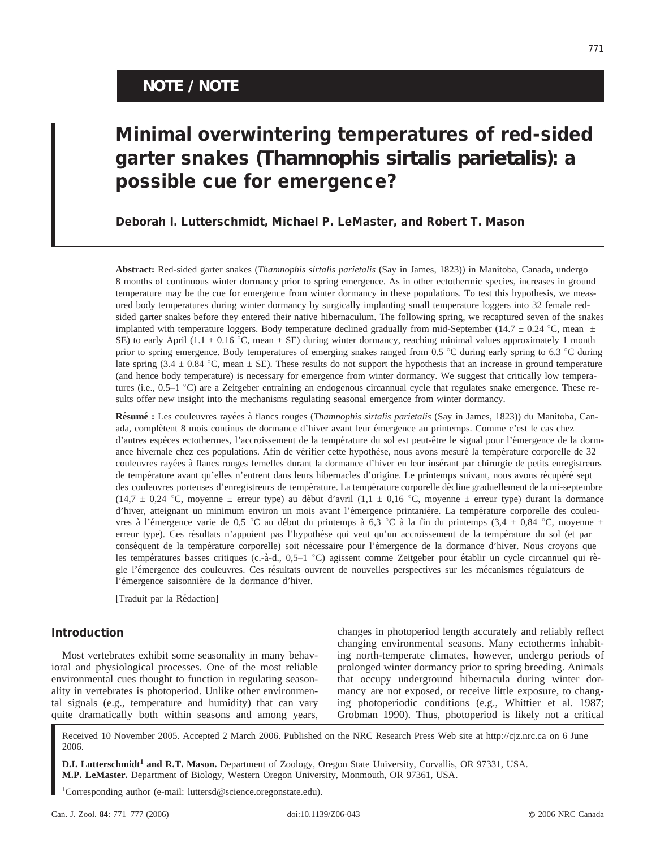## **NOTE / NOTE**

# **Minimal overwintering temperatures of red-sided garter snakes (***Thamnophis sirtalis parietalis***): a possible cue for emergence?**

**Deborah I. Lutterschmidt, Michael P. LeMaster, and Robert T. Mason**

**Abstract:** Red-sided garter snakes (*Thamnophis sirtalis parietalis* (Say in James, 1823)) in Manitoba, Canada, undergo 8 months of continuous winter dormancy prior to spring emergence. As in other ectothermic species, increases in ground temperature may be the cue for emergence from winter dormancy in these populations. To test this hypothesis, we measured body temperatures during winter dormancy by surgically implanting small temperature loggers into 32 female redsided garter snakes before they entered their native hibernaculum. The following spring, we recaptured seven of the snakes implanted with temperature loggers. Body temperature declined gradually from mid-September (14.7  $\pm$  0.24 °C, mean  $\pm$ SE) to early April (1.1  $\pm$  0.16 °C, mean  $\pm$  SE) during winter dormancy, reaching minimal values approximately 1 month prior to spring emergence. Body temperatures of emerging snakes ranged from 0.5  $^{\circ}$ C during early spring to 6.3  $^{\circ}$ C during late spring (3.4  $\pm$  0.84 °C, mean  $\pm$  SE). These results do not support the hypothesis that an increase in ground temperature (and hence body temperature) is necessary for emergence from winter dormancy. We suggest that critically low temperatures (i.e.,  $0.5-1$  °C) are a Zeitgeber entraining an endogenous circannual cycle that regulates snake emergence. These results offer new insight into the mechanisms regulating seasonal emergence from winter dormancy.

Résumé : Les couleuvres rayées à flancs rouges (*Thamnophis sirtalis parietalis* (Say in James, 1823)) du Manitoba, Canada, complètent 8 mois continus de dormance d'hiver avant leur émergence au printemps. Comme c'est le cas chez d'autres espèces ectothermes, l'accroissement de la température du sol est peut-être le signal pour l'émergence de la dormance hivernale chez ces populations. Afin de vérifier cette hypothèse, nous avons mesuré la température corporelle de 32 couleuvres rayées à flancs rouges femelles durant la dormance d'hiver en leur insérant par chirurgie de petits enregistreurs de température avant qu'elles n'entrent dans leurs hibernacles d'origine. Le printemps suivant, nous avons récupéré sept des couleuvres porteuses d'enregistreurs de température. La température corporelle décline graduellement de la mi-septembre (14,7  $\pm$  0,24 °C, moyenne  $\pm$  erreur type) au début d'avril (1,1  $\pm$  0,16 °C, moyenne  $\pm$  erreur type) durant la dormance d'hiver, atteignant un minimum environ un mois avant l'émergence printanière. La température corporelle des couleuvres à l'émergence varie de 0,5 °C au début du printemps à 6,3 °C à la fin du printemps (3,4 ± 0,84 °C, moyenne  $\pm$ erreur type). Ces résultats n'appuient pas l'hypothèse qui veut qu'un accroissement de la température du sol (et par conséquent de la température corporelle) soit nécessaire pour l'émergence de la dormance d'hiver. Nous croyons que les températures basses critiques (c.-à-d., 0,5–1 °C) agissent comme Zeitgeber pour établir un cycle circannuel qui règle l'émergence des couleuvres. Ces résultats ouvrent de nouvelles perspectives sur les mécanismes régulateurs de l'émergence saisonnière de la dormance d'hiver.

[Traduit par la Rédaction]

#### **Introduction**

Most vertebrates exhibit some seasonality in many behavioral and physiological processes. One of the most reliable environmental cues thought to function in regulating seasonality in vertebrates is photoperiod. Unlike other environmental signals (e.g., temperature and humidity) that can vary quite dramatically both within seasons and among years, changes in photoperiod length accurately and reliably reflect changing environmental seasons. Many ectotherms inhabiting north-temperate climates, however, undergo periods of prolonged winter dormancy prior to spring breeding. Animals that occupy underground hibernacula during winter dormancy are not exposed, or receive little exposure, to changing photoperiodic conditions (e.g., Whittier et al. 1987; Grobman 1990). Thus, photoperiod is likely not a critical

Received 10 November 2005. Accepted 2 March 2006. Published on the NRC Research Press Web site at http://cjz.nrc.ca on 6 June 2006.

**D.I. Lutterschmidt1 and R.T. Mason.** Department of Zoology, Oregon State University, Corvallis, OR 97331, USA. **M.P. LeMaster.** Department of Biology, Western Oregon University, Monmouth, OR 97361, USA.

1Corresponding author (e-mail: luttersd@science.oregonstate.edu).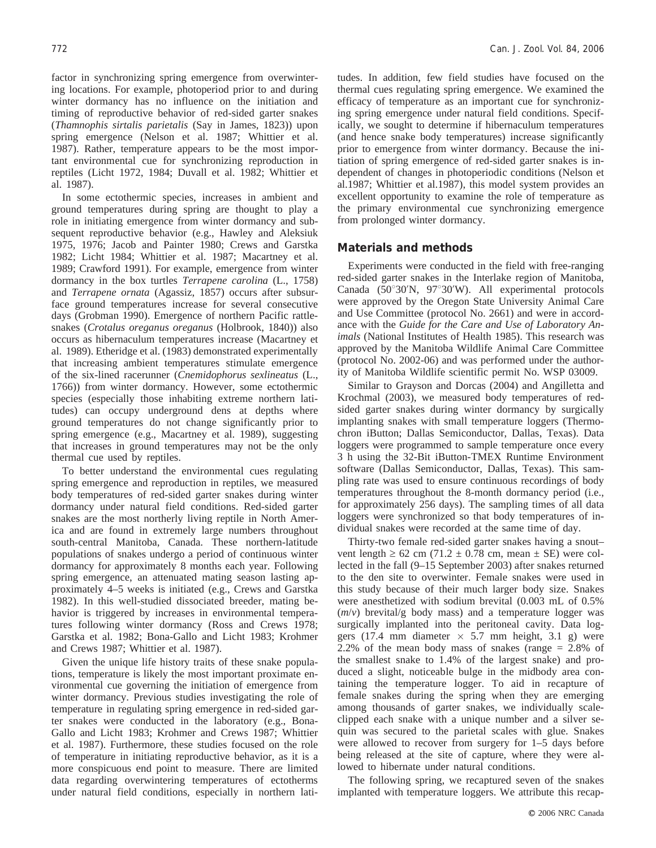factor in synchronizing spring emergence from overwintering locations. For example, photoperiod prior to and during winter dormancy has no influence on the initiation and timing of reproductive behavior of red-sided garter snakes (*Thamnophis sirtalis parietalis* (Say in James, 1823)) upon spring emergence (Nelson et al. 1987; Whittier et al. 1987). Rather, temperature appears to be the most important environmental cue for synchronizing reproduction in reptiles (Licht 1972, 1984; Duvall et al. 1982; Whittier et al. 1987).

In some ectothermic species, increases in ambient and ground temperatures during spring are thought to play a role in initiating emergence from winter dormancy and subsequent reproductive behavior (e.g., Hawley and Aleksiuk 1975, 1976; Jacob and Painter 1980; Crews and Garstka 1982; Licht 1984; Whittier et al. 1987; Macartney et al. 1989; Crawford 1991). For example, emergence from winter dormancy in the box turtles *Terrapene carolina* (L., 1758) and *Terrapene ornata* (Agassiz, 1857) occurs after subsurface ground temperatures increase for several consecutive days (Grobman 1990). Emergence of northern Pacific rattlesnakes (*Crotalus oreganus oreganus* (Holbrook, 1840)) also occurs as hibernaculum temperatures increase (Macartney et al. 1989). Etheridge et al. (1983) demonstrated experimentally that increasing ambient temperatures stimulate emergence of the six-lined racerunner (*Cnemidophorus sexlineatus* (L., 1766)) from winter dormancy. However, some ectothermic species (especially those inhabiting extreme northern latitudes) can occupy underground dens at depths where ground temperatures do not change significantly prior to spring emergence (e.g., Macartney et al. 1989), suggesting that increases in ground temperatures may not be the only thermal cue used by reptiles.

To better understand the environmental cues regulating spring emergence and reproduction in reptiles, we measured body temperatures of red-sided garter snakes during winter dormancy under natural field conditions. Red-sided garter snakes are the most northerly living reptile in North America and are found in extremely large numbers throughout south-central Manitoba, Canada. These northern-latitude populations of snakes undergo a period of continuous winter dormancy for approximately 8 months each year. Following spring emergence, an attenuated mating season lasting approximately 4–5 weeks is initiated (e.g., Crews and Garstka 1982). In this well-studied dissociated breeder, mating behavior is triggered by increases in environmental temperatures following winter dormancy (Ross and Crews 1978; Garstka et al. 1982; Bona-Gallo and Licht 1983; Krohmer and Crews 1987; Whittier et al. 1987).

Given the unique life history traits of these snake populations, temperature is likely the most important proximate environmental cue governing the initiation of emergence from winter dormancy. Previous studies investigating the role of temperature in regulating spring emergence in red-sided garter snakes were conducted in the laboratory (e.g., Bona-Gallo and Licht 1983; Krohmer and Crews 1987; Whittier et al. 1987). Furthermore, these studies focused on the role of temperature in initiating reproductive behavior, as it is a more conspicuous end point to measure. There are limited data regarding overwintering temperatures of ectotherms under natural field conditions, especially in northern latitudes. In addition, few field studies have focused on the thermal cues regulating spring emergence. We examined the efficacy of temperature as an important cue for synchronizing spring emergence under natural field conditions. Specifically, we sought to determine if hibernaculum temperatures (and hence snake body temperatures) increase significantly prior to emergence from winter dormancy. Because the initiation of spring emergence of red-sided garter snakes is independent of changes in photoperiodic conditions (Nelson et al.1987; Whittier et al.1987), this model system provides an excellent opportunity to examine the role of temperature as the primary environmental cue synchronizing emergence from prolonged winter dormancy.

#### **Materials and methods**

Experiments were conducted in the field with free-ranging red-sided garter snakes in the Interlake region of Manitoba, Canada ( $50^{\circ}30'$ N,  $97^{\circ}30'$ W). All experimental protocols were approved by the Oregon State University Animal Care and Use Committee (protocol No. 2661) and were in accordance with the *Guide for the Care and Use of Laboratory Animals* (National Institutes of Health 1985). This research was approved by the Manitoba Wildlife Animal Care Committee (protocol No. 2002-06) and was performed under the authority of Manitoba Wildlife scientific permit No. WSP 03009.

Similar to Grayson and Dorcas (2004) and Angilletta and Krochmal (2003), we measured body temperatures of redsided garter snakes during winter dormancy by surgically implanting snakes with small temperature loggers (Thermochron iButton; Dallas Semiconductor, Dallas, Texas). Data loggers were programmed to sample temperature once every 3 h using the 32-Bit iButton-TMEX Runtime Environment software (Dallas Semiconductor, Dallas, Texas). This sampling rate was used to ensure continuous recordings of body temperatures throughout the 8-month dormancy period (i.e., for approximately 256 days). The sampling times of all data loggers were synchronized so that body temperatures of individual snakes were recorded at the same time of day.

Thirty-two female red-sided garter snakes having a snout– vent length  $\geq 62$  cm (71.2  $\pm$  0.78 cm, mean  $\pm$  SE) were collected in the fall (9–15 September 2003) after snakes returned to the den site to overwinter. Female snakes were used in this study because of their much larger body size. Snakes were anesthetized with sodium brevital (0.003 mL of 0.5% (*m*/*v*) brevital/g body mass) and a temperature logger was surgically implanted into the peritoneal cavity. Data loggers (17.4 mm diameter  $\times$  5.7 mm height, 3.1 g) were 2.2% of the mean body mass of snakes (range = 2.8% of the smallest snake to 1.4% of the largest snake) and produced a slight, noticeable bulge in the midbody area containing the temperature logger. To aid in recapture of female snakes during the spring when they are emerging among thousands of garter snakes, we individually scaleclipped each snake with a unique number and a silver sequin was secured to the parietal scales with glue. Snakes were allowed to recover from surgery for 1–5 days before being released at the site of capture, where they were allowed to hibernate under natural conditions.

The following spring, we recaptured seven of the snakes implanted with temperature loggers. We attribute this recap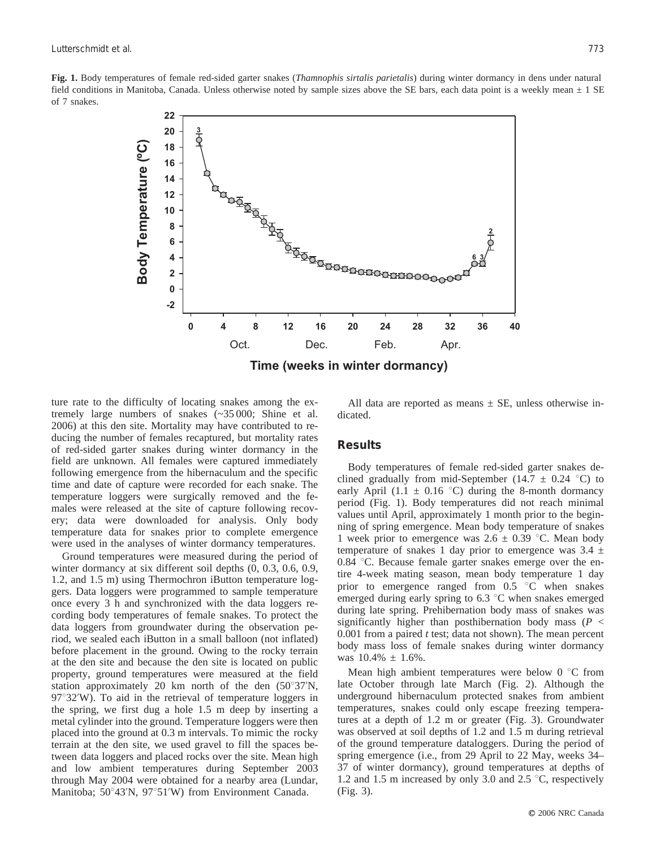**Fig. 1.** Body temperatures of female red-sided garter snakes (*Thamnophis sirtalis parietalis*) during winter dormancy in dens under natural field conditions in Manitoba, Canada. Unless otherwise noted by sample sizes above the SE bars, each data point is a weekly mean  $\pm 1$  SE of 7 snakes.



ture rate to the difficulty of locating snakes among the extremely large numbers of snakes (~35 000; Shine et al. 2006) at this den site. Mortality may have contributed to reducing the number of females recaptured, but mortality rates of red-sided garter snakes during winter dormancy in the field are unknown. All females were captured immediately following emergence from the hibernaculum and the specific time and date of capture were recorded for each snake. The temperature loggers were surgically removed and the females were released at the site of capture following recovery; data were downloaded for analysis. Only body temperature data for snakes prior to complete emergence were used in the analyses of winter dormancy temperatures.

Ground temperatures were measured during the period of winter dormancy at six different soil depths (0, 0.3, 0.6, 0.9, 1.2, and 1.5 m) using Thermochron iButton temperature loggers. Data loggers were programmed to sample temperature once every 3 h and synchronized with the data loggers recording body temperatures of female snakes. To protect the data loggers from groundwater during the observation period, we sealed each iButton in a small balloon (not inflated) before placement in the ground. Owing to the rocky terrain at the den site and because the den site is located on public property, ground temperatures were measured at the field station approximately 20 km north of the den  $(50^{\circ}37'N,$  $97^{\circ}32'$ W). To aid in the retrieval of temperature loggers in the spring, we first dug a hole 1.5 m deep by inserting a metal cylinder into the ground. Temperature loggers were then placed into the ground at 0.3 m intervals. To mimic the rocky terrain at the den site, we used gravel to fill the spaces between data loggers and placed rocks over the site. Mean high and low ambient temperatures during September 2003 through May 2004 were obtained for a nearby area (Lundar, Manitoba; 50°43'N, 97°51'W) from Environment Canada.

All data are reported as means  $\pm$  SE, unless otherwise indicated.

#### **Results**

Body temperatures of female red-sided garter snakes declined gradually from mid-September (14.7  $\pm$  0.24 °C) to early April (1.1  $\pm$  0.16 °C) during the 8-month dormancy period (Fig. 1). Body temperatures did not reach minimal values until April, approximately 1 month prior to the beginning of spring emergence. Mean body temperature of snakes 1 week prior to emergence was  $2.6 \pm 0.39$  °C. Mean body temperature of snakes 1 day prior to emergence was  $3.4 \pm$  $0.84$  °C. Because female garter snakes emerge over the entire 4-week mating season, mean body temperature 1 day prior to emergence ranged from  $0.5$  °C when snakes emerged during early spring to  $6.3 \degree$ C when snakes emerged during late spring. Prehibernation body mass of snakes was significantly higher than posthibernation body mass  $(P \leq$ 0.001 from a paired *t* test; data not shown). The mean percent body mass loss of female snakes during winter dormancy was  $10.4\% \pm 1.6\%$ .

Mean high ambient temperatures were below  $0^{\circ}$ C from late October through late March (Fig. 2). Although the underground hibernaculum protected snakes from ambient temperatures, snakes could only escape freezing temperatures at a depth of 1.2 m or greater (Fig. 3). Groundwater was observed at soil depths of 1.2 and 1.5 m during retrieval of the ground temperature dataloggers. During the period of spring emergence (i.e., from 29 April to 22 May, weeks 34– 37 of winter dormancy), ground temperatures at depths of 1.2 and 1.5 m increased by only 3.0 and 2.5  $\degree$ C, respectively (Fig. 3).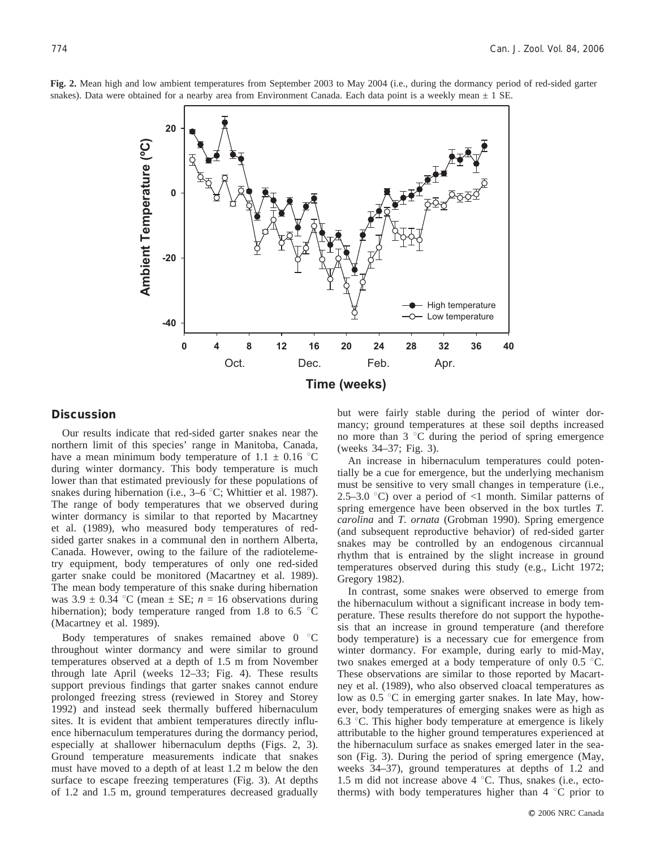

**Fig. 2.** Mean high and low ambient temperatures from September 2003 to May 2004 (i.e., during the dormancy period of red-sided garter snakes). Data were obtained for a nearby area from Environment Canada. Each data point is a weekly mean  $\pm$  1 SE.

### **Discussion**

Our results indicate that red-sided garter snakes near the northern limit of this species' range in Manitoba, Canada, have a mean minimum body temperature of  $1.1 \pm 0.16$  °C during winter dormancy. This body temperature is much lower than that estimated previously for these populations of snakes during hibernation (i.e.,  $3-6$  °C; Whittier et al. 1987). The range of body temperatures that we observed during winter dormancy is similar to that reported by Macartney et al. (1989), who measured body temperatures of redsided garter snakes in a communal den in northern Alberta, Canada. However, owing to the failure of the radiotelemetry equipment, body temperatures of only one red-sided garter snake could be monitored (Macartney et al. 1989). The mean body temperature of this snake during hibernation was  $3.9 \pm 0.34$  °C (mean  $\pm$  SE;  $n = 16$  observations during hibernation); body temperature ranged from 1.8 to 6.5  $\degree$ C (Macartney et al. 1989).

Body temperatures of snakes remained above  $0^{\circ}C$ throughout winter dormancy and were similar to ground temperatures observed at a depth of 1.5 m from November through late April (weeks 12–33; Fig. 4). These results support previous findings that garter snakes cannot endure prolonged freezing stress (reviewed in Storey and Storey 1992) and instead seek thermally buffered hibernaculum sites. It is evident that ambient temperatures directly influence hibernaculum temperatures during the dormancy period, especially at shallower hibernaculum depths (Figs. 2, 3). Ground temperature measurements indicate that snakes must have moved to a depth of at least 1.2 m below the den surface to escape freezing temperatures (Fig. 3). At depths of 1.2 and 1.5 m, ground temperatures decreased gradually but were fairly stable during the period of winter dormancy; ground temperatures at these soil depths increased no more than  $3 \text{ }^{\circ}$ C during the period of spring emergence (weeks 34–37; Fig. 3).

An increase in hibernaculum temperatures could potentially be a cue for emergence, but the underlying mechanism must be sensitive to very small changes in temperature (i.e., 2.5–3.0 °C) over a period of  $\langle$ 1 month. Similar patterns of spring emergence have been observed in the box turtles *T. carolina* and *T. ornata* (Grobman 1990). Spring emergence (and subsequent reproductive behavior) of red-sided garter snakes may be controlled by an endogenous circannual rhythm that is entrained by the slight increase in ground temperatures observed during this study (e.g., Licht 1972; Gregory 1982).

In contrast, some snakes were observed to emerge from the hibernaculum without a significant increase in body temperature. These results therefore do not support the hypothesis that an increase in ground temperature (and therefore body temperature) is a necessary cue for emergence from winter dormancy. For example, during early to mid-May, two snakes emerged at a body temperature of only  $0.5$  °C. These observations are similar to those reported by Macartney et al. (1989), who also observed cloacal temperatures as low as  $0.5 \text{ °C}$  in emerging garter snakes. In late May, however, body temperatures of emerging snakes were as high as 6.3  $\degree$ C. This higher body temperature at emergence is likely attributable to the higher ground temperatures experienced at the hibernaculum surface as snakes emerged later in the season (Fig. 3). During the period of spring emergence (May, weeks 34–37), ground temperatures at depths of 1.2 and 1.5 m did not increase above  $4^{\circ}$ C. Thus, snakes (i.e., ectotherms) with body temperatures higher than  $4 \degree C$  prior to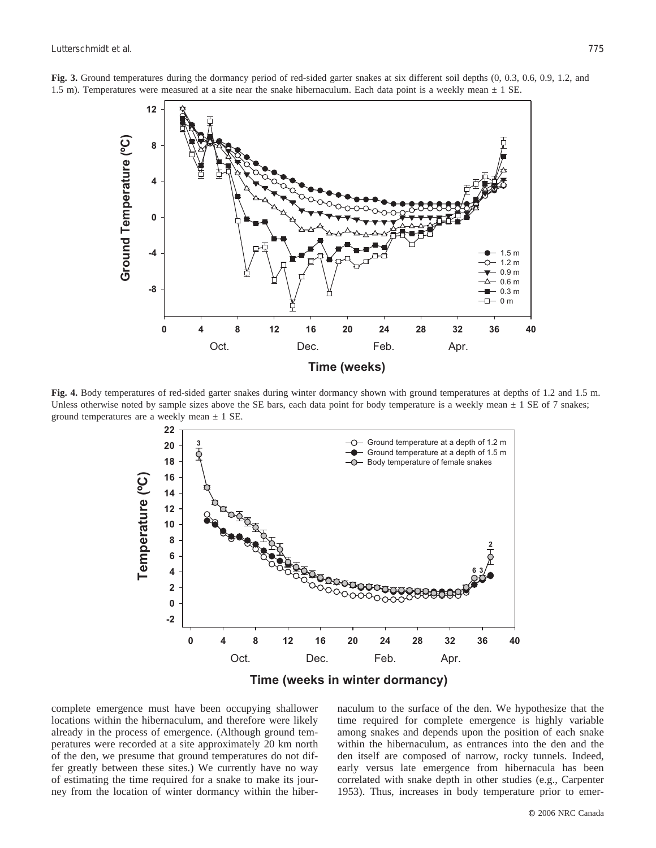

**Fig. 3.** Ground temperatures during the dormancy period of red-sided garter snakes at six different soil depths (0, 0.3, 0.6, 0.9, 1.2, and 1.5 m). Temperatures were measured at a site near the snake hibernaculum. Each data point is a weekly mean  $\pm$  1 SE.

**Fig. 4.** Body temperatures of red-sided garter snakes during winter dormancy shown with ground temperatures at depths of 1.2 and 1.5 m. Unless otherwise noted by sample sizes above the SE bars, each data point for body temperature is a weekly mean  $\pm$  1 SE of 7 snakes; ground temperatures are a weekly mean  $\pm$  1 SE.



**Time (weeks in winter dormancy)**

complete emergence must have been occupying shallower locations within the hibernaculum, and therefore were likely already in the process of emergence. (Although ground temperatures were recorded at a site approximately 20 km north of the den, we presume that ground temperatures do not differ greatly between these sites.) We currently have no way of estimating the time required for a snake to make its journey from the location of winter dormancy within the hibernaculum to the surface of the den. We hypothesize that the time required for complete emergence is highly variable among snakes and depends upon the position of each snake within the hibernaculum, as entrances into the den and the den itself are composed of narrow, rocky tunnels. Indeed, early versus late emergence from hibernacula has been correlated with snake depth in other studies (e.g., Carpenter 1953). Thus, increases in body temperature prior to emer-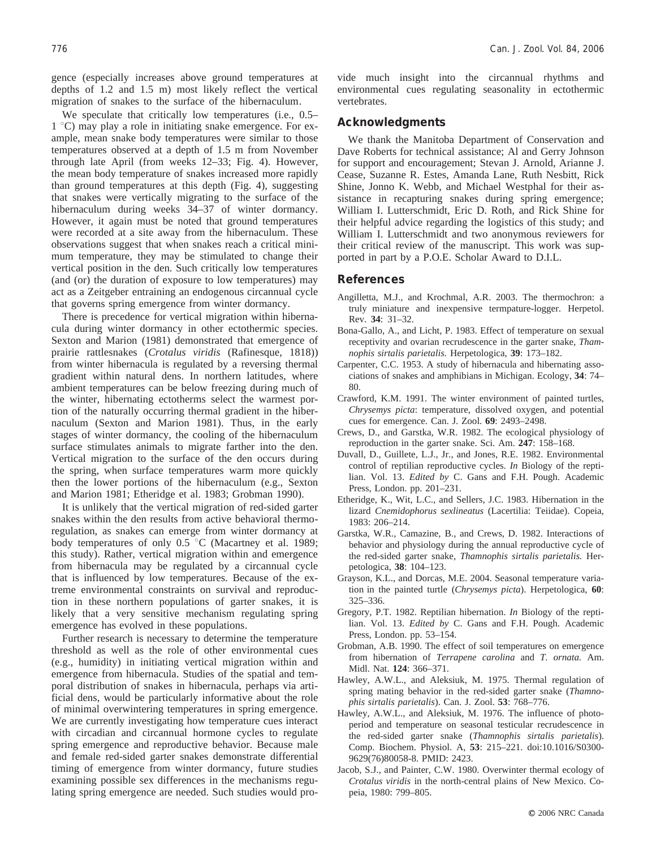gence (especially increases above ground temperatures at depths of 1.2 and 1.5 m) most likely reflect the vertical migration of snakes to the surface of the hibernaculum.

We speculate that critically low temperatures (i.e., 0.5–  $1 \degree C$ ) may play a role in initiating snake emergence. For example, mean snake body temperatures were similar to those temperatures observed at a depth of 1.5 m from November through late April (from weeks 12–33; Fig. 4). However, the mean body temperature of snakes increased more rapidly than ground temperatures at this depth (Fig. 4), suggesting that snakes were vertically migrating to the surface of the hibernaculum during weeks 34–37 of winter dormancy. However, it again must be noted that ground temperatures were recorded at a site away from the hibernaculum. These observations suggest that when snakes reach a critical minimum temperature, they may be stimulated to change their vertical position in the den. Such critically low temperatures (and (or) the duration of exposure to low temperatures) may act as a Zeitgeber entraining an endogenous circannual cycle that governs spring emergence from winter dormancy.

There is precedence for vertical migration within hibernacula during winter dormancy in other ectothermic species. Sexton and Marion (1981) demonstrated that emergence of prairie rattlesnakes (*Crotalus viridis* (Rafinesque, 1818)) from winter hibernacula is regulated by a reversing thermal gradient within natural dens. In northern latitudes, where ambient temperatures can be below freezing during much of the winter, hibernating ectotherms select the warmest portion of the naturally occurring thermal gradient in the hibernaculum (Sexton and Marion 1981). Thus, in the early stages of winter dormancy, the cooling of the hibernaculum surface stimulates animals to migrate farther into the den. Vertical migration to the surface of the den occurs during the spring, when surface temperatures warm more quickly then the lower portions of the hibernaculum (e.g., Sexton and Marion 1981; Etheridge et al. 1983; Grobman 1990).

It is unlikely that the vertical migration of red-sided garter snakes within the den results from active behavioral thermoregulation, as snakes can emerge from winter dormancy at body temperatures of only  $0.5 \text{ °C}$  (Macartney et al. 1989; this study). Rather, vertical migration within and emergence from hibernacula may be regulated by a circannual cycle that is influenced by low temperatures. Because of the extreme environmental constraints on survival and reproduction in these northern populations of garter snakes, it is likely that a very sensitive mechanism regulating spring emergence has evolved in these populations.

Further research is necessary to determine the temperature threshold as well as the role of other environmental cues (e.g., humidity) in initiating vertical migration within and emergence from hibernacula. Studies of the spatial and temporal distribution of snakes in hibernacula, perhaps via artificial dens, would be particularly informative about the role of minimal overwintering temperatures in spring emergence. We are currently investigating how temperature cues interact with circadian and circannual hormone cycles to regulate spring emergence and reproductive behavior. Because male and female red-sided garter snakes demonstrate differential timing of emergence from winter dormancy, future studies examining possible sex differences in the mechanisms regulating spring emergence are needed. Such studies would provide much insight into the circannual rhythms and environmental cues regulating seasonality in ectothermic vertebrates.

#### **Acknowledgments**

We thank the Manitoba Department of Conservation and Dave Roberts for technical assistance; Al and Gerry Johnson for support and encouragement; Stevan J. Arnold, Arianne J. Cease, Suzanne R. Estes, Amanda Lane, Ruth Nesbitt, Rick Shine, Jonno K. Webb, and Michael Westphal for their assistance in recapturing snakes during spring emergence; William I. Lutterschmidt, Eric D. Roth, and Rick Shine for their helpful advice regarding the logistics of this study; and William I. Lutterschmidt and two anonymous reviewers for their critical review of the manuscript. This work was supported in part by a P.O.E. Scholar Award to D.I.L.

#### **References**

- Angilletta, M.J., and Krochmal, A.R. 2003. The thermochron: a truly miniature and inexpensive termpature-logger. Herpetol. Rev. **34**: 31–32.
- Bona-Gallo, A., and Licht, P. 1983. Effect of temperature on sexual receptivity and ovarian recrudescence in the garter snake, *Thamnophis sirtalis parietalis.* Herpetologica, **39**: 173–182.
- Carpenter, C.C. 1953. A study of hibernacula and hibernating associations of snakes and amphibians in Michigan. Ecology, **34**: 74– 80.
- Crawford, K.M. 1991. The winter environment of painted turtles, *Chrysemys picta*: temperature, dissolved oxygen, and potential cues for emergence. Can. J. Zool. **69**: 2493–2498.
- Crews, D., and Garstka, W.R. 1982. The ecological physiology of reproduction in the garter snake. Sci. Am. **247**: 158–168.
- Duvall, D., Guillete, L.J., Jr., and Jones, R.E. 1982. Environmental control of reptilian reproductive cycles. *In* Biology of the reptilian. Vol. 13. *Edited by* C. Gans and F.H. Pough. Academic Press, London. pp. 201–231.
- Etheridge, K., Wit, L.C., and Sellers, J.C. 1983. Hibernation in the lizard *Cnemidophorus sexlineatus* (Lacertilia: Teiidae). Copeia, 1983: 206–214.
- Garstka, W.R., Camazine, B., and Crews, D. 1982. Interactions of behavior and physiology during the annual reproductive cycle of the red-sided garter snake, *Thamnophis sirtalis parietalis.* Herpetologica, **38**: 104–123.
- Grayson, K.L., and Dorcas, M.E. 2004. Seasonal temperature variation in the painted turtle (*Chrysemys picta*). Herpetologica, **60**: 325–336.
- Gregory, P.T. 1982. Reptilian hibernation. *In* Biology of the reptilian. Vol. 13. *Edited by* C. Gans and F.H. Pough. Academic Press, London. pp. 53–154.
- Grobman, A.B. 1990. The effect of soil temperatures on emergence from hibernation of *Terrapene carolina* and *T. ornata.* Am. Midl. Nat. **124**: 366–371.
- Hawley, A.W.L., and Aleksiuk, M. 1975. Thermal regulation of spring mating behavior in the red-sided garter snake (*Thamnophis sirtalis parietalis*). Can. J. Zool. **53**: 768–776.
- Hawley, A.W.L., and Aleksiuk, M. 1976. The influence of photoperiod and temperature on seasonal testicular recrudescence in the red-sided garter snake (*Thamnophis sirtalis parietalis*). Comp. Biochem. Physiol. A, **53**: 215–221. doi:10.1016/S0300- 9629(76)80058-8. PMID: 2423.
- Jacob, S.J., and Painter, C.W. 1980. Overwinter thermal ecology of *Crotalus viridis* in the north-central plains of New Mexico. Copeia, 1980: 799–805.